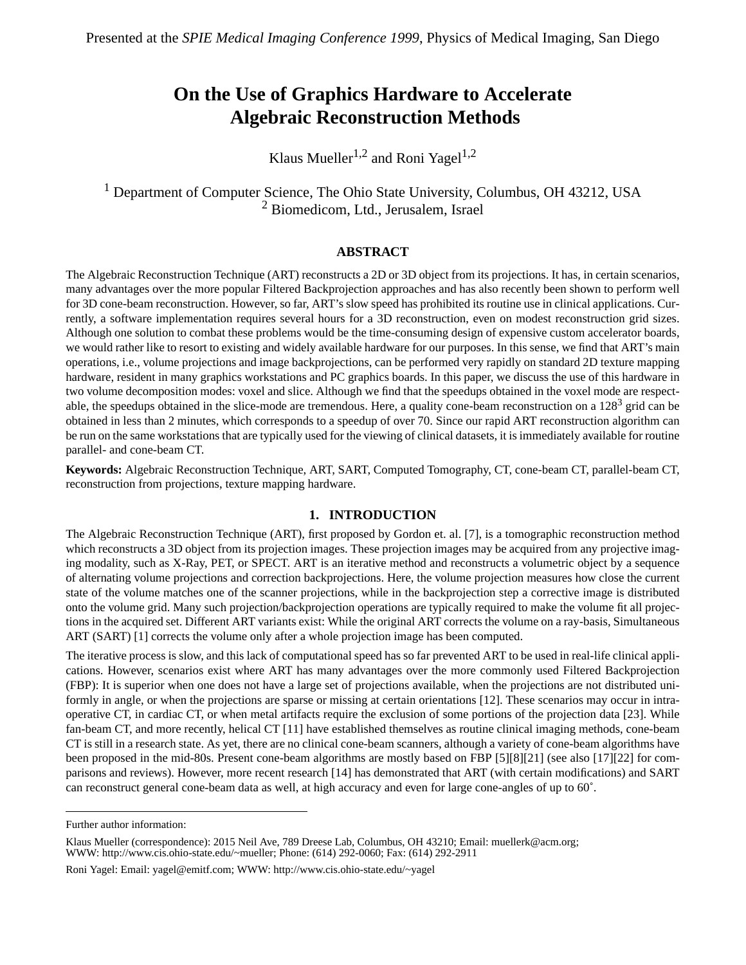# **On the Use of Graphics Hardware to Accelerate Algebraic Reconstruction Methods**

Klaus Mueller<sup>1,2</sup> and Roni Yagel<sup>1,2</sup>

<sup>1</sup> Department of Computer Science, The Ohio State University, Columbus, OH 43212, USA 2 Biomedicom, Ltd., Jerusalem, Israel

#### **ABSTRACT**

The Algebraic Reconstruction Technique (ART) reconstructs a 2D or 3D object from its projections. It has, in certain scenarios, many advantages over the more popular Filtered Backprojection approaches and has also recently been shown to perform well for 3D cone-beam reconstruction. However, so far, ART's slow speed has prohibited its routine use in clinical applications. Currently, a software implementation requires several hours for a 3D reconstruction, even on modest reconstruction grid sizes. Although one solution to combat these problems would be the time-consuming design of expensive custom accelerator boards, we would rather like to resort to existing and widely available hardware for our purposes. In this sense, we find that ART's main operations, i.e., volume projections and image backprojections, can be performed very rapidly on standard 2D texture mapping hardware, resident in many graphics workstations and PC graphics boards. In this paper, we discuss the use of this hardware in two volume decomposition modes: voxel and slice. Although we find that the speedups obtained in the voxel mode are respectable, the speedups obtained in the slice-mode are tremendous. Here, a quality cone-beam reconstruction on a  $128<sup>3</sup>$  grid can be obtained in less than 2 minutes, which corresponds to a speedup of over 70. Since our rapid ART reconstruction algorithm can be run on the same workstations that are typically used for the viewing of clinical datasets, it is immediately available for routine parallel- and cone-beam CT.

**Keywords:** Algebraic Reconstruction Technique, ART, SART, Computed Tomography, CT, cone-beam CT, parallel-beam CT, reconstruction from projections, texture mapping hardware.

#### **1. INTRODUCTION**

The Algebraic Reconstruction Technique (ART), first proposed by Gordon et. al. [\[7\],](#page-10-0) is a tomographic reconstruction method which reconstructs a 3D object from its projection images. These projection images may be acquired from any projective imaging modality, such as X-Ray, PET, or SPECT. ART is an iterative method and reconstructs a volumetric object by a sequence of alternating volume projections and correction backprojections. Here, the volume projection measures how close the current state of the volume matches one of the scanner projections, while in the backprojection step a corrective image is distributed onto the volume grid. Many such projection/backprojection operations are typically required to make the volume fit all projections in the acquired set. Different ART variants exist: While the original ART corrects the volume on a ray-basis, Simultaneous ART (SART) [[1\] c](#page-9-0)orrects the volume only after a whole projection image has been computed.

The iterative process is slow, and this lack of computational speed has so far prevented ART to be used in real-life clinical applications. However, scenarios exist where ART has many advantages over the more commonly used Filtered Backprojection (FBP): It is superior when one does not have a large set of projections available, when the projections are not distributed uniformly in angle, or when the projections are sparse or missing at certain orientations [[12\].](#page-10-0) These scenarios may occur in intraoperative CT, in cardiac CT, or when metal artifacts require the exclusion of some portions of the projection data [\[23\]](#page-10-0). While fan-beam CT, and more recently, helical CT [\[11\]](#page-10-0) have established themselves as routine clinical imaging methods, cone-beam CT is still in a research state. As yet, there are no clinical cone-beam scanners, although a variety of cone-beam algorithms have been proposed in the mid-80s. Present cone-beam algorithms are mostly based on FBP [\[5\]\[8\]\[21\]](#page-10-0) (see also [\[17\]\[22\]](#page-10-0) for comparisons and reviews). However, more recent research [\[14\]](#page-10-0) has demonstrated that ART (with certain modifications) and SART can reconstruct general cone-beam data as well, at high accuracy and even for large cone-angles of up to 60˚.

Further author information:

Klaus Mueller (correspondence): 2015 Neil Ave, 789 Dreese Lab, Columbus, OH 43210; Email: muellerk@acm.org; WWW: http://www.cis.ohio-state.edu/~mueller; Phone: (614) 292-0060; Fax: (614) 292-2911

Roni Yagel: Email: yagel@emitf.com; WWW: http://www.cis.ohio-state.edu/~yagel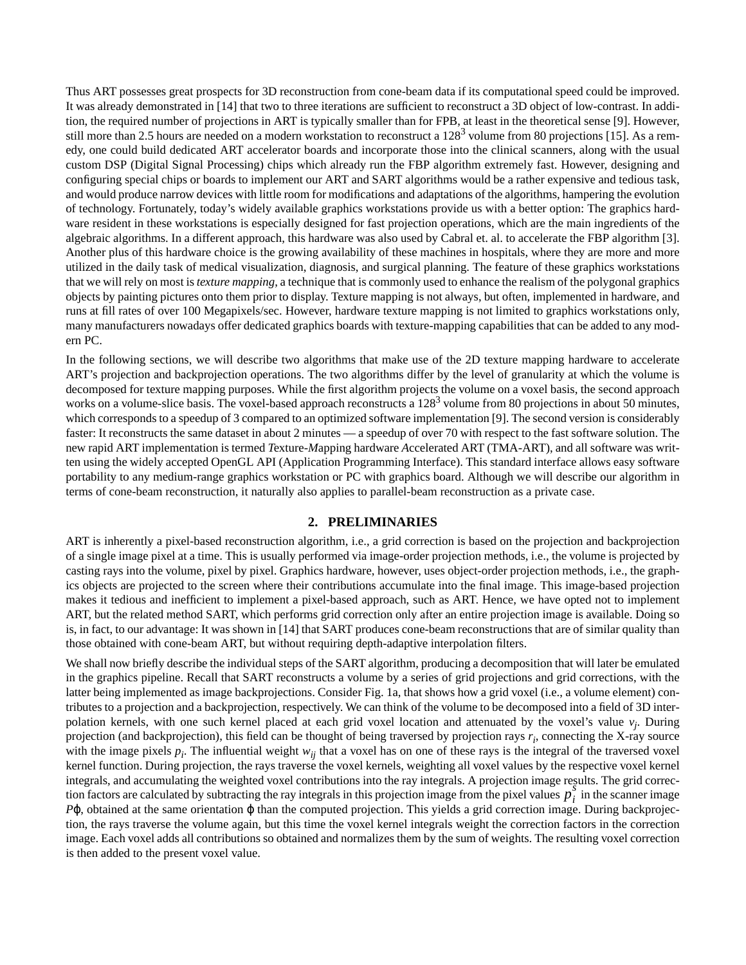Thus ART possesses great prospects for 3D reconstruction from cone-beam data if its computational speed could be improved. It was already demonstrated in [\[14\]](#page-10-0) that two to three iterations are sufficient to reconstruct a 3D object of low-contrast. In addition, the required number of projections in ART is typically smaller than for FPB, at least in the theoretical sense [\[9\]](#page-10-0). However, still more than 2.5 hours are needed on a modern workstation to reconstruct a  $128<sup>3</sup>$  volume from 80 projections [\[15\]](#page-10-0). As a remedy, one could build dedicated ART accelerator boards and incorporate those into the clinical scanners, along with the usual custom DSP (Digital Signal Processing) chips which already run the FBP algorithm extremely fast. However, designing and configuring special chips or boards to implement our ART and SART algorithms would be a rather expensive and tedious task, and would produce narrow devices with little room for modifications and adaptations of the algorithms, hampering the evolution of technology. Fortunately, today's widely available graphics workstations provide us with a better option: The graphics hardware resident in these workstations is especially designed for fast projection operations, which are the main ingredients of the algebraic algorithms. In a different approach, this hardware was also used by Cabral et. al. to accelerate the FBP algorithm [\[3\]](#page-9-0). Another plus of this hardware choice is the growing availability of these machines in hospitals, where they are more and more utilized in the daily task of medical visualization, diagnosis, and surgical planning. The feature of these graphics workstations that we will rely on most is*texture mapping*, a technique that is commonly used to enhance the realism of the polygonal graphics objects by painting pictures onto them prior to display. Texture mapping is not always, but often, implemented in hardware, and runs at fill rates of over 100 Megapixels/sec. However, hardware texture mapping is not limited to graphics workstations only, many manufacturers nowadays offer dedicated graphics boards with texture-mapping capabilities that can be added to any modern PC.

In the following sections, we will describe two algorithms that make use of the 2D texture mapping hardware to accelerate ART's projection and backprojection operations. The two algorithms differ by the level of granularity at which the volume is decomposed for texture mapping purposes. While the first algorithm projects the volume on a voxel basis, the second approach works on a volume-slice basis. The voxel-based approach reconstructs a  $128<sup>3</sup>$  volume from 80 projections in about 50 minutes, which corresponds to a speedup of 3 compared to an optimized software implementation [\[9\].](#page-10-0) The second version is considerably faster: It reconstructs the same dataset in about 2 minutes — a speedup of over 70 with respect to the fast software solution. The new rapid ART implementation is termed *T*exture-*M*apping hardware *A*ccelerated ART (TMA-ART), and all software was written using the widely accepted OpenGL API (Application Programming Interface). This standard interface allows easy software portability to any medium-range graphics workstation or PC with graphics board. Although we will describe our algorithm in terms of cone-beam reconstruction, it naturally also applies to parallel-beam reconstruction as a private case.

## **2. PRELIMINARIES**

ART is inherently a pixel-based reconstruction algorithm, i.e., a grid correction is based on the projection and backprojection of a single image pixel at a time. This is usually performed via image-order projection methods, i.e., the volume is projected by casting rays into the volume, pixel by pixel. Graphics hardware, however, uses object-order projection methods, i.e., the graphics objects are projected to the screen where their contributions accumulate into the final image. This image-based projection makes it tedious and inefficient to implement a pixel-based approach, such as ART. Hence, we have opted not to implement ART, but the related method SART, which performs grid correction only after an entire projection image is available. Doing so is, in fact, to our advantage: It was shown in [\[14\]](#page-10-0) that SART produces cone-beam reconstructions that are of similar quality than those obtained with cone-beam ART, but without requiring depth-adaptive interpolation filters.

We shall now briefly describe the individual steps of the SART algorithm, producing a decomposition that will later be emulated in the graphics pipeline. Recall that SART reconstructs a volume by a series of grid projections and grid corrections, with the latter being implemented as image backprojections. Conside[r Fig. 1](#page-2-0)a, that shows how a grid voxel (i.e., a volume element) contributes to a projection and a backprojection, respectively. We can think of the volume to be decomposed into a field of 3D interpolation kernels, with one such kernel placed at each grid voxel location and attenuated by the voxel's value *vj* . During projection (and backprojection), this field can be thought of being traversed by projection rays  $r_i$ , connecting the X-ray source with the image pixels  $p_i$ . The influential weight  $w_{ij}$  that a voxel has on one of these rays is the integral of the traversed voxel kernel function. During projection, the rays traverse the voxel kernels, weighting all voxel values by the respective voxel kernel integrals, and accumulating the weighted voxel contributions into the ray integrals. A projection image results. The grid correc-*s*tion factors are calculated by subtracting the ray integrals in this projection image from the pixel values  $p_i^{\delta}$  in the scanner image *P*ϕ, obtained at the same orientation ϕ than the computed projection. This yields a grid correction image. During backprojection, the rays traverse the volume again, but this time the voxel kernel integrals weight the correction factors in the correction image. Each voxel adds all contributions so obtained and normalizes them by the sum of weights. The resulting voxel correction is then added to the present voxel value.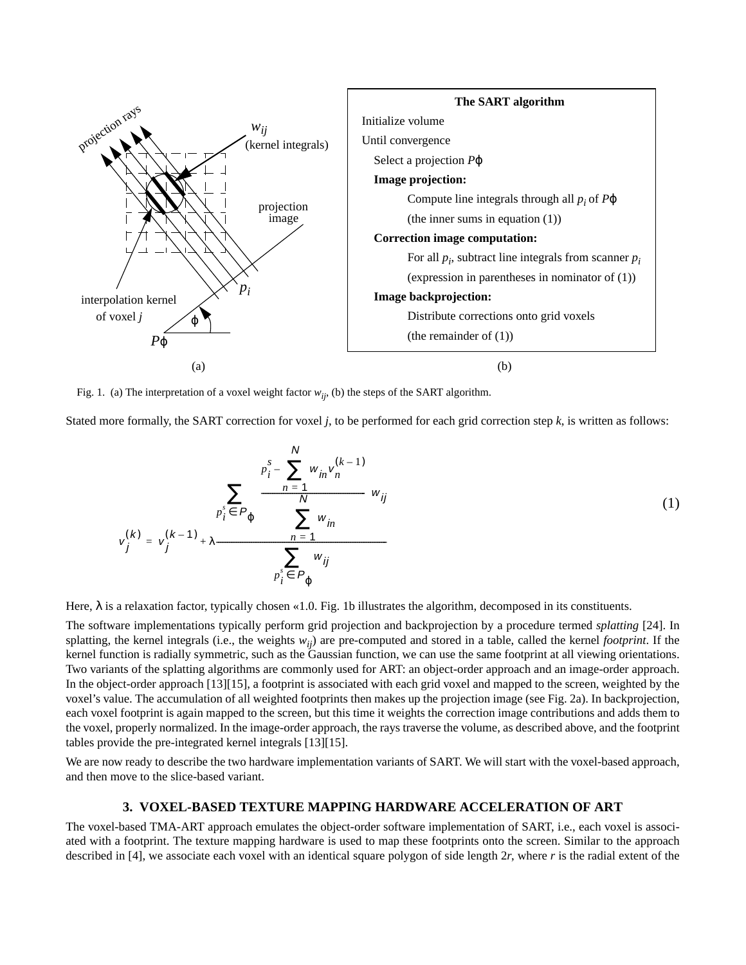<span id="page-2-0"></span>

Fig. 1. (a) The interpretation of a voxel weight factor  $w_{ij}$ , (b) the steps of the SART algorithm.

Stated more formally, the SART correction for voxel *j*, to be performed for each grid correction step *k*, is written as follows:

$$
v_j^{(k)} = v_j^{(k-1)} + \lambda \frac{\sum\limits_{p_i^s \in P_{\varphi}} \left( \frac{\sum\limits_{n=1}^N w_{in} v_n^{(k-1)}}{\sum\limits_{n=1}^N w_{in}} \right) w_{ij}}{\sum\limits_{p_i^s \in P_{\varphi}} w_{ij}}
$$
(1)

Here,  $\lambda$  is a relaxation factor, typically chosen «1.0. Fig. 1b illustrates the algorithm, decomposed in its constituents.

The software implementations typically perform grid projection and backprojection by a procedure termed *splatting* [\[24\].](#page-10-0) In splatting, the kernel integrals (i.e., the weights *wij*) are pre-computed and stored in a table, called the kernel *footprint*. If the kernel function is radially symmetric, such as the Gaussian function, we can use the same footprint at all viewing orientations. Two variants of the splatting algorithms are commonly used for ART: an object-order approach and an image-order approach. In the object-order approach [\[13\]\[15\]](#page-10-0), a footprint is associated with each grid voxel and mapped to the screen, weighted by the voxel's value. The accumulation of all weighted footprints then makes up the projection image (see [Fig. 2a](#page-3-0)). In backprojection, each voxel footprint is again mapped to the screen, but this time it weights the correction image contributions and adds them to the voxel, properly normalized. In the image-order approach, the rays traverse the volume, as described above, and the footprint tables provide the pre-integrated kernel integrals [1[3\]\[15\].](#page-10-0)

We are now ready to describe the two hardware implementation variants of SART. We will start with the voxel-based approach, and then move to the slice-based variant.

#### **3. VOXEL-BASED TEXTURE MAPPING HARDWARE ACCELERATION OF ART**

The voxel-based TMA-ART approach emulates the object-order software implementation of SART, i.e., each voxel is associated with a footprint. The texture mapping hardware is used to map these footprints onto the screen. Similar to the approach described in [\[4\]](#page-10-0), we associate each voxel with an identical square polygon of side length 2*r*, where *r* is the radial extent of the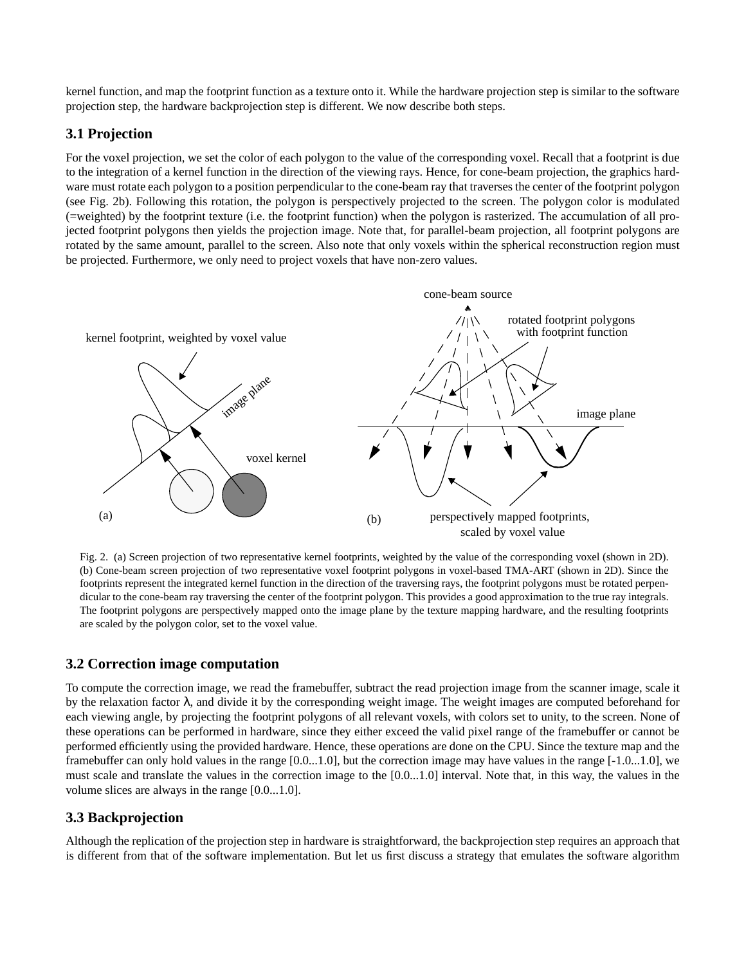<span id="page-3-0"></span>kernel function, and map the footprint function as a texture onto it. While the hardware projection step is similar to the software projection step, the hardware backprojection step is different. We now describe both steps.

# **3.1 Projection**

For the voxel projection, we set the color of each polygon to the value of the corresponding voxel. Recall that a footprint is due to the integration of a kernel function in the direction of the viewing rays. Hence, for cone-beam projection, the graphics hardware must rotate each polygon to a position perpendicular to the cone-beam ray that traverses the center of the footprint polygon (see Fig. 2b). Following this rotation, the polygon is perspectively projected to the screen. The polygon color is modulated (=weighted) by the footprint texture (i.e. the footprint function) when the polygon is rasterized. The accumulation of all projected footprint polygons then yields the projection image. Note that, for parallel-beam projection, all footprint polygons are rotated by the same amount, parallel to the screen. Also note that only voxels within the spherical reconstruction region must be projected. Furthermore, we only need to project voxels that have non-zero values.



Fig. 2. (a) Screen projection of two representative kernel footprints, weighted by the value of the corresponding voxel (shown in 2D). (b) Cone-beam screen projection of two representative voxel footprint polygons in voxel-based TMA-ART (shown in 2D). Since the footprints represent the integrated kernel function in the direction of the traversing rays, the footprint polygons must be rotated perpendicular to the cone-beam ray traversing the center of the footprint polygon. This provides a good approximation to the true ray integrals. The footprint polygons are perspectively mapped onto the image plane by the texture mapping hardware, and the resulting footprints are scaled by the polygon color, set to the voxel value.

# **3.2 Correction image computation**

To compute the correction image, we read the framebuffer, subtract the read projection image from the scanner image, scale it by the relaxation factor  $\lambda$ , and divide it by the corresponding weight image. The weight images are computed beforehand for each viewing angle, by projecting the footprint polygons of all relevant voxels, with colors set to unity, to the screen. None of these operations can be performed in hardware, since they either exceed the valid pixel range of the framebuffer or cannot be performed efficiently using the provided hardware. Hence, these operations are done on the CPU. Since the texture map and the framebuffer can only hold values in the range [0.0...1.0], but the correction image may have values in the range [-1.0...1.0], we must scale and translate the values in the correction image to the [0.0...1.0] interval. Note that, in this way, the values in the volume slices are always in the range [0.0...1.0].

# **3.3 Backprojection**

Although the replication of the projection step in hardware is straightforward, the backprojection step requires an approach that is different from that of the software implementation. But let us first discuss a strategy that emulates the software algorithm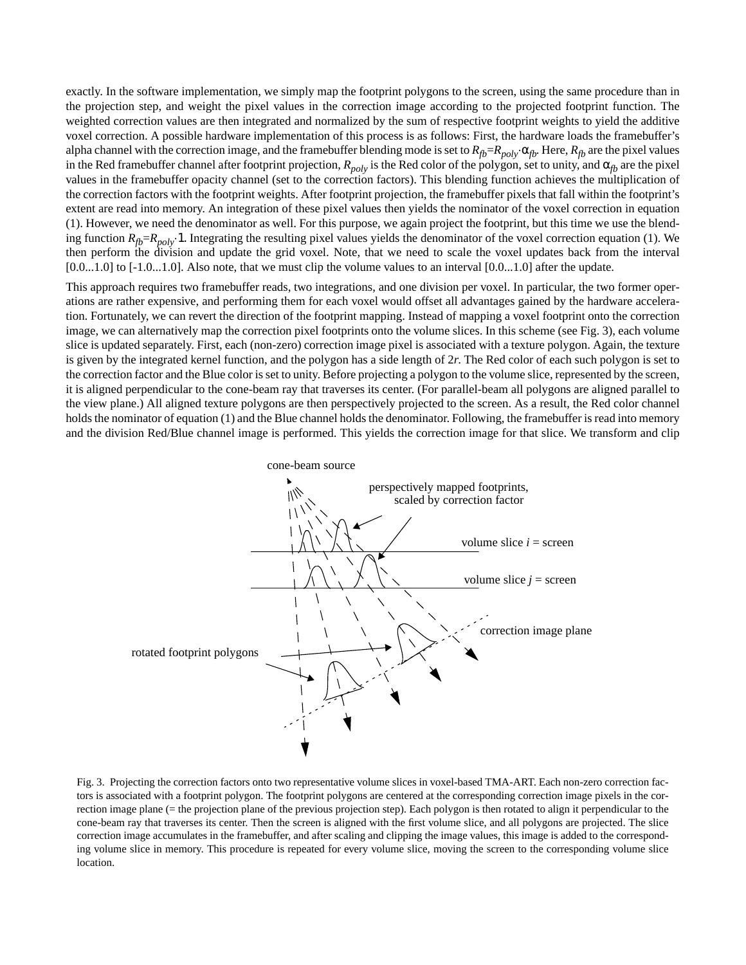exactly. In the software implementation, we simply map the footprint polygons to the screen, using the same procedure than in the projection step, and weight the pixel values in the correction image according to the projected footprint function. The weighted correction values are then integrated and normalized by the sum of respective footprint weights to yield the additive voxel correction. A possible hardware implementation of this process is as follows: First, the hardware loads the framebuffer's alpha channel with the correction image, and the framebuffer blending mode is set to  $R_{fb}=R_{poly}\cdot\alpha_{fb}$ . Here,  $R_{fb}$  are the pixel values in the Red framebuffer channel after footprint projection,  $R_{poly}$  is the Red color of the polygon, set to unity, and  $\alpha_{fb}$  are the pixel values in the framebuffer opacity channel (set to the correction factors). This blending function achieves the multiplication of the correction factors with the footprint weights. After footprint projection, the framebuffer pixels that fall within the footprint's extent are read into memory. An integration of these pixel values then yields the nominator of the voxel correction in equation [\(1\).](#page-2-0) However, we need the denominator as well. For this purpose, we again project the footprint, but this time we use the blending function  $R_{fb} = R_{poly} \cdot 1$ . Integrating the resulting pixel values yields the denominator of the voxel correction equation [\(1\).](#page-2-0) We then perform the division and update the grid voxel. Note, that we need to scale the voxel updates back from the interval  $[0.0...1.0]$  to  $[-1.0...1.0]$ . Also note, that we must clip the volume values to an interval  $[0.0...1.0]$  after the update.

This approach requires two framebuffer reads, two integrations, and one division per voxel. In particular, the two former operations are rather expensive, and performing them for each voxel would offset all advantages gained by the hardware acceleration. Fortunately, we can revert the direction of the footprint mapping. Instead of mapping a voxel footprint onto the correction image, we can alternatively map the correction pixel footprints onto the volume slices. In this scheme (see Fig. 3), each volume slice is updated separately. First, each (non-zero) correction image pixel is associated with a texture polygon. Again, the texture is given by the integrated kernel function, and the polygon has a side length of 2*r*. The Red color of each such polygon is set to the correction factor and the Blue color is set to unity. Before projecting a polygon to the volume slice, represented by the screen, it is aligned perpendicular to the cone-beam ray that traverses its center. (For parallel-beam all polygons are aligned parallel to the view plane.) All aligned texture polygons are then perspectively projected to the screen. As a result, the Red color channel holds the nominator of equation [\(1\)](#page-2-0) and the Blue channel holds the denominator. Following, the framebuffer is read into memory and the division Red/Blue channel image is performed. This yields the correction image for that slice. We transform and clip



Fig. 3. Projecting the correction factors onto two representative volume slices in voxel-based TMA-ART. Each non-zero correction factors is associated with a footprint polygon. The footprint polygons are centered at the corresponding correction image pixels in the correction image plane (= the projection plane of the previous projection step). Each polygon is then rotated to align it perpendicular to the cone-beam ray that traverses its center. Then the screen is aligned with the first volume slice, and all polygons are projected. The slice correction image accumulates in the framebuffer, and after scaling and clipping the image values, this image is added to the corresponding volume slice in memory. This procedure is repeated for every volume slice, moving the screen to the corresponding volume slice location.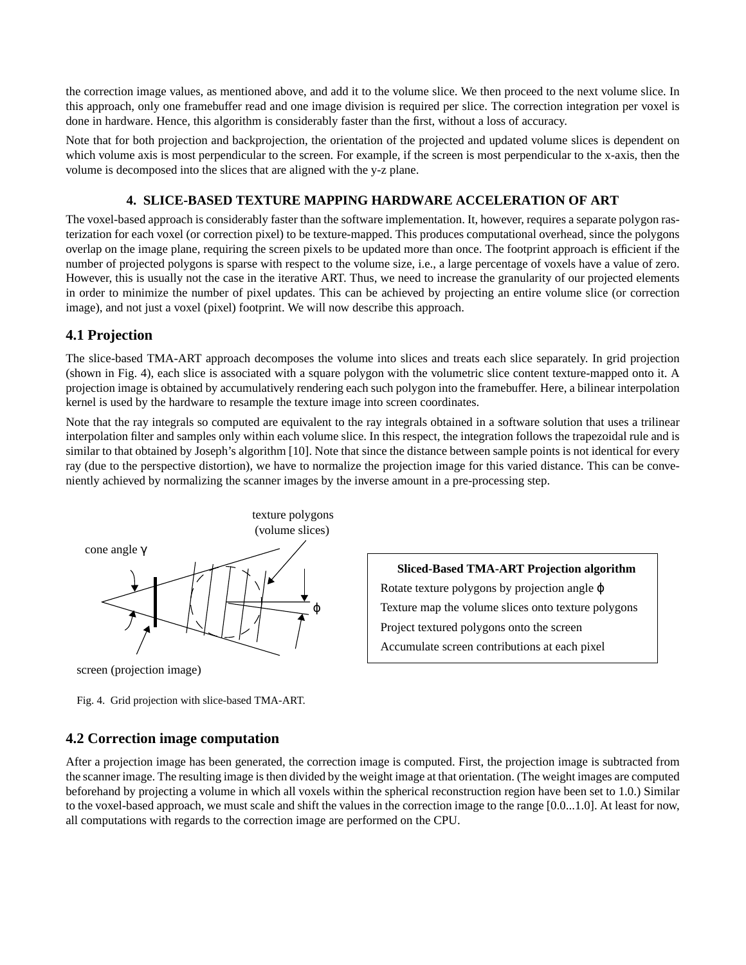<span id="page-5-0"></span>the correction image values, as mentioned above, and add it to the volume slice. We then proceed to the next volume slice. In this approach, only one framebuffer read and one image division is required per slice. The correction integration per voxel is done in hardware. Hence, this algorithm is considerably faster than the first, without a loss of accuracy.

Note that for both projection and backprojection, the orientation of the projected and updated volume slices is dependent on which volume axis is most perpendicular to the screen. For example, if the screen is most perpendicular to the x-axis, then the volume is decomposed into the slices that are aligned with the y-z plane.

# **4. SLICE-BASED TEXTURE MAPPING HARDWARE ACCELERATION OF ART**

The voxel-based approach is considerably faster than the software implementation. It, however, requires a separate polygon rasterization for each voxel (or correction pixel) to be texture-mapped. This produces computational overhead, since the polygons overlap on the image plane, requiring the screen pixels to be updated more than once. The footprint approach is efficient if the number of projected polygons is sparse with respect to the volume size, i.e., a large percentage of voxels have a value of zero. However, this is usually not the case in the iterative ART. Thus, we need to increase the granularity of our projected elements in order to minimize the number of pixel updates. This can be achieved by projecting an entire volume slice (or correction image), and not just a voxel (pixel) footprint. We will now describe this approach.

# **4.1 Projection**

The slice-based TMA-ART approach decomposes the volume into slices and treats each slice separately. In grid projection (shown in Fig. 4), each slice is associated with a square polygon with the volumetric slice content texture-mapped onto it. A projection image is obtained by accumulatively rendering each such polygon into the framebuffer. Here, a bilinear interpolation kernel is used by the hardware to resample the texture image into screen coordinates.

Note that the ray integrals so computed are equivalent to the ray integrals obtained in a software solution that uses a trilinear interpolation filter and samples only within each volume slice. In this respect, the integration follows the trapezoidal rule and is similar to that obtained by Joseph's algorithm [\[10\].](#page-10-0) Note that since the distance between sample points is not identical for every ray (due to the perspective distortion), we have to normalize the projection image for this varied distance. This can be conveniently achieved by normalizing the scanner images by the inverse amount in a pre-processing step.



screen (projection image)

**4.2 Correction image computation**

After a projection image has been generated, the correction image is computed. First, the projection image is subtracted from the scanner image. The resulting image is then divided by the weight image at that orientation. (The weight images are computed beforehand by projecting a volume in which all voxels within the spherical reconstruction region have been set to 1.0.) Similar to the voxel-based approach, we must scale and shift the values in the correction image to the range [0.0...1.0]. At least for now, all computations with regards to the correction image are performed on the CPU.

**Sliced-Based TMA-ART Projection algorithm** Rotate texture polygons by projection angle ϕ Texture map the volume slices onto texture polygons Project textured polygons onto the screen Accumulate screen contributions at each pixel

Fig. 4. Grid projection with slice-based TMA-ART.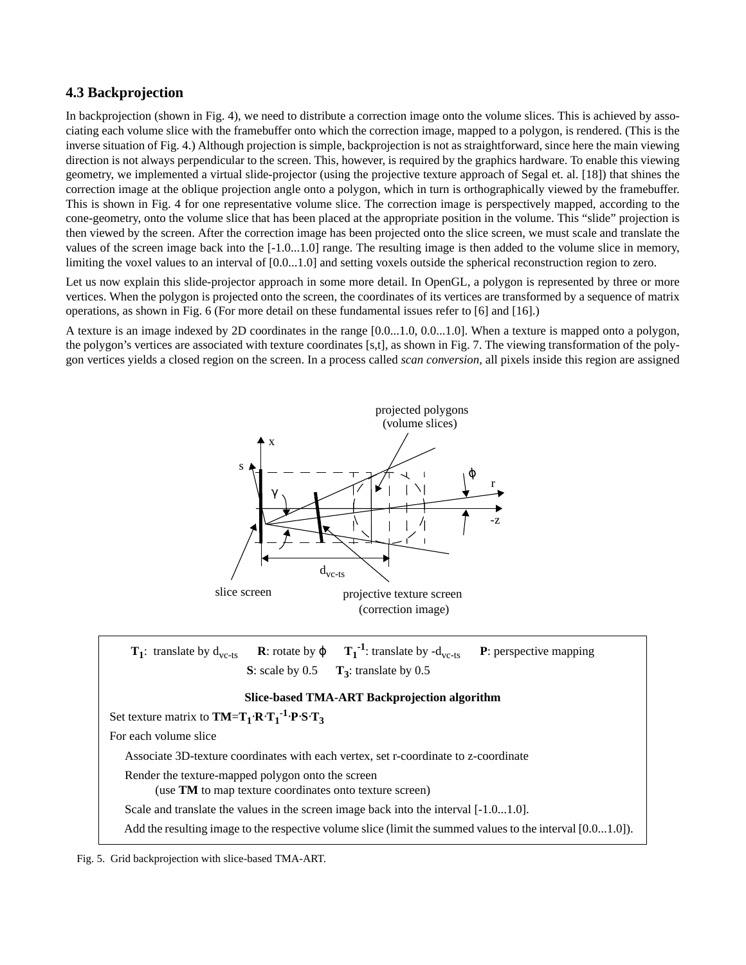# **4.3 Backprojection**

In backprojection (shown in [Fig. 4\)](#page-5-0), we need to distribute a correction image onto the volume slices. This is achieved by associating each volume slice with the framebuffer onto which the correction image, mapped to a polygon, is rendered. (This is the inverse situation of [Fig. 4.](#page-5-0)) Although projection is simple, backprojection is not as straightforward, since here the main viewing direction is not always perpendicular to the screen. This, however, is required by the graphics hardware. To enable this viewing geometry, we implemented a virtual slide-projector (using the projective texture approach of Segal et. al. [\[18\]](#page-10-0)) that shines the correction image at the oblique projection angle onto a polygon, which in turn is orthographically viewed by the framebuffer. This is shown in [Fig. 4](#page-5-0) for one representative volume slice. The correction image is perspectively mapped, according to the cone-geometry, onto the volume slice that has been placed at the appropriate position in the volume. This "slide" projection is then viewed by the screen. After the correction image has been projected onto the slice screen, we must scale and translate the values of the screen image back into the [-1.0...1.0] range. The resulting image is then added to the volume slice in memory, limiting the voxel values to an interval of  $[0.0...1.0]$  and setting voxels outside the spherical reconstruction region to zero.

Let us now explain this slide-projector approach in some more detail. In OpenGL, a polygon is represented by three or more vertices. When the polygon is projected onto the screen, the coordinates of its vertices are transformed by a sequence of matrix operations, as shown in [Fig. 6 \(F](#page-7-0)or more detail on these fundamental issues refer to [6] a[nd \[](#page-10-0)16].[\)](#page-10-0)

A texture is an image indexed by 2D coordinates in the range [0.0...1.0, 0.0...1.0]. When a texture is mapped onto a polygon, the polygon's vertices are associated with texture coordinates [s,t], as shown in [Fig. 7](#page-8-0). The viewing transformation of the polygon vertices yields a closed region on the screen. In a process called *scan conversion,* all pixels inside this region are assigned



Fig. 5. Grid backprojection with slice-based TMA-ART.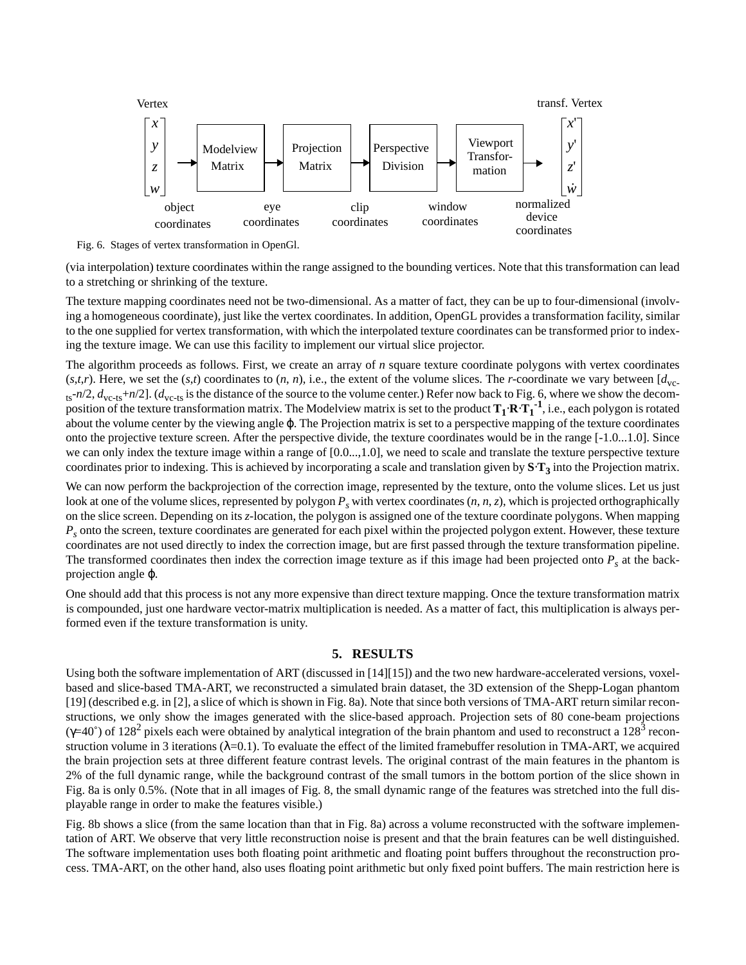<span id="page-7-0"></span>

Fig. 6. Stages of vertex transformation in OpenGl.

(via interpolation) texture coordinates within the range assigned to the bounding vertices. Note that this transformation can lead to a stretching or shrinking of the texture.

The texture mapping coordinates need not be two-dimensional. As a matter of fact, they can be up to four-dimensional (involving a homogeneous coordinate), just like the vertex coordinates. In addition, OpenGL provides a transformation facility, similar to the one supplied for vertex transformation, with which the interpolated texture coordinates can be transformed prior to indexing the texture image. We can use this facility to implement our virtual slice projector.

The algorithm proceeds as follows. First, we create an array of *n* square texture coordinate polygons with vertex coordinates  $(s, t, r)$ . Here, we set the  $(s, t)$  coordinates to  $(n, n)$ , i.e., the extent of the volume slices. The *r*-coordinate we vary between  $[d_{\text{v}c}$  $_{ts}$ - $n/2$ ,  $d_{vc-ts}$ + $n/2$ ]. ( $d_{vc-ts}$  is the distance of the source to the volume center.) Refer now back to Fig. 6, where we show the decomposition of the texture transformation matrix. The Modelview matrix is set to the product  $T_1 \cdot R \cdot T_1^{-1}$ , i.e., each polygon is rotated about the volume center by the viewing angle ϕ. The Projection matrix is set to a perspective mapping of the texture coordinates onto the projective texture screen. After the perspective divide, the texture coordinates would be in the range [-1.0...1.0]. Since we can only index the texture image within a range of  $[0.0...,1.0]$ , we need to scale and translate the texture perspective texture coordinates prior to indexing. This is achieved by incorporating a scale and translation given by **S**⋅**T3** into the Projection matrix.

We can now perform the backprojection of the correction image, represented by the texture, onto the volume slices. Let us just look at one of the volume slices, represented by polygon  $P_s$  with vertex coordinates (*n*, *n*, *z*), which is projected orthographically on the slice screen. Depending on its *z*-location, the polygon is assigned one of the texture coordinate polygons. When mapping *Ps* onto the screen, texture coordinates are generated for each pixel within the projected polygon extent. However, these texture coordinates are not used directly to index the correction image, but are first passed through the texture transformation pipeline. The transformed coordinates then index the correction image texture as if this image had been projected onto  $P_s$  at the backprojection angle ϕ.

One should add that this process is not any more expensive than direct texture mapping. Once the texture transformation matrix is compounded, just one hardware vector-matrix multiplication is needed. As a matter of fact, this multiplication is always performed even if the texture transformation is unity.

## **5. RESULTS**

Using both the software implementation of ART (discussed in [\[14\]\[15\]](#page-10-0)) and the two new hardware-accelerated versions, voxelbased and slice-based TMA-ART, we reconstructed a simulated brain dataset, the 3D extension of the Shepp-Logan phantom [\[19\]](#page-10-0) (described e.g. i[n \[2](#page-9-0)], a slice of which is shown i[n Fig. 8](#page-8-0)a). Note that since both versions of TMA-ART return similar reconstructions, we only show the images generated with the slice-based approach. Projection sets of 80 cone-beam projections  $(γ=40°)$  of 128<sup>2</sup> pixels each were obtained by analytical integration of the brain phantom and used to reconstruct a 128<sup>3</sup> reconstruction volume in 3 iterations  $(\lambda=0.1)$ . To evaluate the effect of the limited framebuffer resolution in TMA-ART, we acquired the brain projection sets at three different feature contrast levels. The original contrast of the main features in the phantom is 2% of the full dynamic range, while the background contrast of the small tumors in the bottom portion of the slice shown in [Fig. 8a](#page-8-0) is only 0.5%. (Note that in all images of [Fig. 8,](#page-8-0) the small dynamic range of the features was stretched into the full displayable range in order to make the features visible.)

[Fig. 8b](#page-8-0) shows a slice (from the same location than that in [Fig. 8](#page-8-0)a) across a volume reconstructed with the software implementation of ART. We observe that very little reconstruction noise is present and that the brain features can be well distinguished. The software implementation uses both floating point arithmetic and floating point buffers throughout the reconstruction process. TMA-ART, on the other hand, also uses floating point arithmetic but only fixed point buffers. The main restriction here is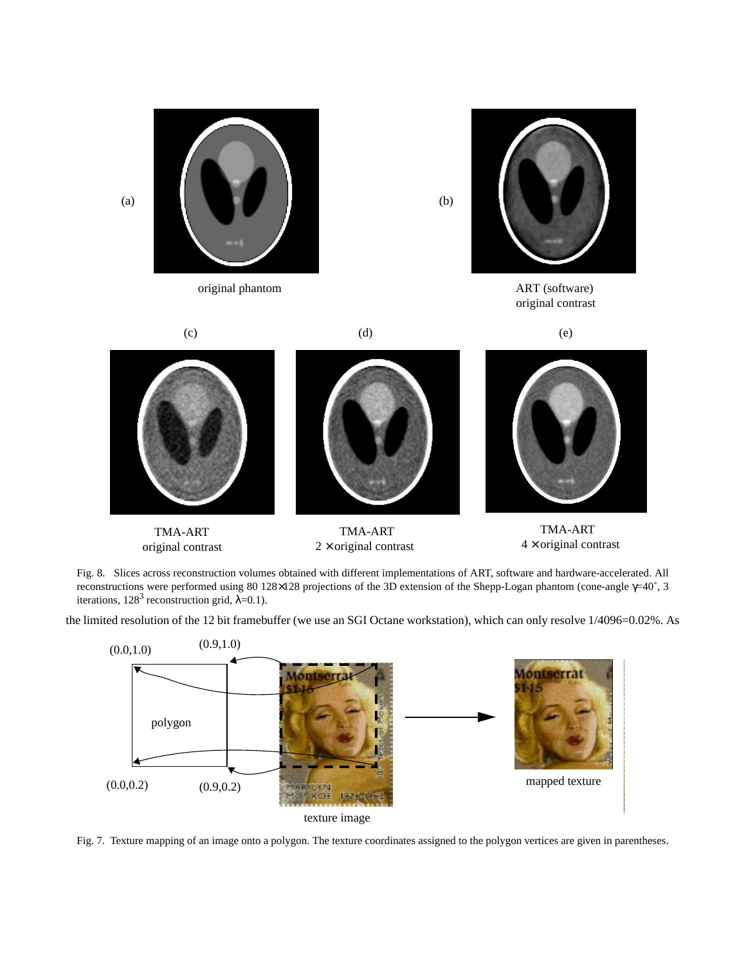<span id="page-8-0"></span>





(b)

original contrast





original contrast  $2 \times$  original contrast  $4 \times$  original contrast

TMA-ART TMA-ART TMA-ART

Fig. 8. Slices across reconstruction volumes obtained with different implementations of ART, software and hardware-accelerated. All reconstructions were performed using 80 128×128 projections of the 3D extension of the Shepp-Logan phantom (cone-angle γ=40˚, 3 iterations,  $128^3$  reconstruction grid,  $\lambda=0.1$ ).

the limited resolution of the 12 bit framebuffer (we use an SGI Octane workstation), which can only resolve 1/4096=0.02%. As



Fig. 7. Texture mapping of an image onto a polygon. The texture coordinates assigned to the polygon vertices are given in parentheses.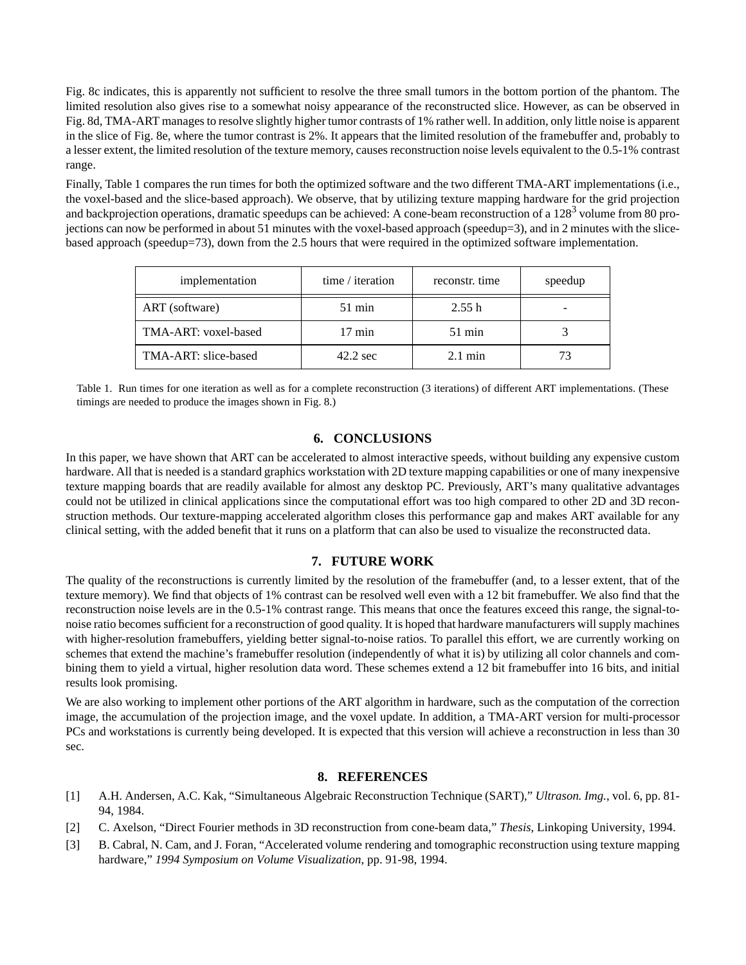<span id="page-9-0"></span>[Fig. 8c](#page-8-0) indicates, this is apparently not sufficient to resolve the three small tumors in the bottom portion of the phantom. The limited resolution also gives rise to a somewhat noisy appearance of the reconstructed slice. However, as can be observed in [Fig. 8d](#page-8-0), TMA-ART manages to resolve slightly higher tumor contrasts of 1% rather well. In addition, only little noise is apparent in the slice of [Fig. 8](#page-8-0)e, where the tumor contrast is 2%. It appears that the limited resolution of the framebuffer and, probably to a lesser extent, the limited resolution of the texture memory, causes reconstruction noise levels equivalent to the 0.5-1% contrast range.

Finally, Table 1 compares the run times for both the optimized software and the two different TMA-ART implementations (i.e., the voxel-based and the slice-based approach). We observe, that by utilizing texture mapping hardware for the grid projection and backprojection operations, dramatic speedups can be achieved: A cone-beam reconstruction of a 128<sup>3</sup> volume from 80 projections can now be performed in about 51 minutes with the voxel-based approach (speedup=3), and in 2 minutes with the slicebased approach (speedup=73), down from the 2.5 hours that were required in the optimized software implementation.

| implementation       | time / iteration   | reconstr. time    | speedup |
|----------------------|--------------------|-------------------|---------|
| ART (software)       | $51 \text{ min}$   | 2.55h             |         |
| TMA-ART: voxel-based | $17 \text{ min}$   | $51 \text{ min}$  |         |
| TMA-ART: slice-based | $42.2 \text{ sec}$ | $2.1 \text{ min}$ | 73      |

Table 1. Run times for one iteration as well as for a complete reconstruction (3 iterations) of different ART implementations. (These timings are needed to produce the images shown in [Fig. 8.\)](#page-8-0)

#### **6. CONCLUSIONS**

In this paper, we have shown that ART can be accelerated to almost interactive speeds, without building any expensive custom hardware. All that is needed is a standard graphics workstation with 2D texture mapping capabilities or one of many inexpensive texture mapping boards that are readily available for almost any desktop PC. Previously, ART's many qualitative advantages could not be utilized in clinical applications since the computational effort was too high compared to other 2D and 3D reconstruction methods. Our texture-mapping accelerated algorithm closes this performance gap and makes ART available for any clinical setting, with the added benefit that it runs on a platform that can also be used to visualize the reconstructed data.

#### **7. FUTURE WORK**

The quality of the reconstructions is currently limited by the resolution of the framebuffer (and, to a lesser extent, that of the texture memory). We find that objects of 1% contrast can be resolved well even with a 12 bit framebuffer. We also find that the reconstruction noise levels are in the 0.5-1% contrast range. This means that once the features exceed this range, the signal-tonoise ratio becomes sufficient for a reconstruction of good quality. It is hoped that hardware manufacturers will supply machines with higher-resolution framebuffers, yielding better signal-to-noise ratios. To parallel this effort, we are currently working on schemes that extend the machine's framebuffer resolution (independently of what it is) by utilizing all color channels and combining them to yield a virtual, higher resolution data word. These schemes extend a 12 bit framebuffer into 16 bits, and initial results look promising.

We are also working to implement other portions of the ART algorithm in hardware, such as the computation of the correction image, the accumulation of the projection image, and the voxel update. In addition, a TMA-ART version for multi-processor PCs and workstations is currently being developed. It is expected that this version will achieve a reconstruction in less than 30 sec.

#### **8. REFERENCES**

- [1] A.H. Andersen, A.C. Kak, "Simultaneous Algebraic Reconstruction Technique (SART)," *Ultrason. Img.*, vol. 6, pp. 81- 94, 1984.
- [2] C. Axelson, "Direct Fourier methods in 3D reconstruction from cone-beam data," *Thesis*, Linkoping University, 1994.
- [3] B. Cabral, N. Cam, and J. Foran, "Accelerated volume rendering and tomographic reconstruction using texture mapping hardware," *1994 Symposium on Volume Visualization*, pp. 91-98, 1994.